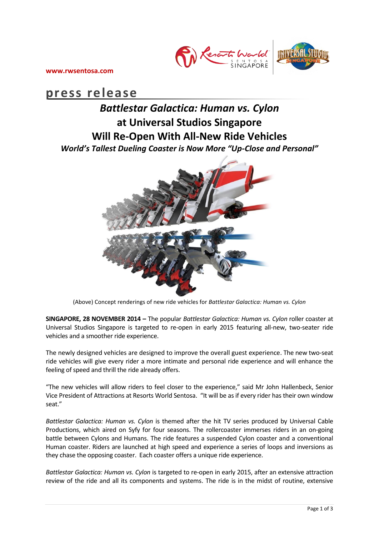

**www.rwsentosa.com**

# **press release**

# *Battlestar Galactica: Human vs. Cylon* **at Universal Studios Singapore Will Re-Open With All-New Ride Vehicles**  *World's Tallest Dueling Coaster is Now More "Up-Close and Personal"*



(Above) Concept renderings of new ride vehicles for *Battlestar Galactica: Human vs. Cylon*

**SINGAPORE, 28 NOVEMBER 2014 –** The popular *Battlestar Galactica: Human vs. Cylon* roller coaster at Universal Studios Singapore is targeted to re-open in early 2015 featuring all-new, two-seater ride vehicles and a smoother ride experience.

The newly designed vehicles are designed to improve the overall guest experience. The new two-seat ride vehicles will give every rider a more intimate and personal ride experience and will enhance the feeling of speed and thrill the ride already offers.

"The new vehicles will allow riders to feel closer to the experience," said Mr John Hallenbeck, Senior Vice President of Attractions at Resorts World Sentosa. "It will be as if every rider has their own window seat."

*Battlestar Galactica: Human vs. Cylon* is themed after the hit TV series produced by Universal Cable Productions, which aired on Syfy for four seasons. The rollercoaster immerses riders in an on-going battle between Cylons and Humans. The ride features a suspended Cylon coaster and a conventional Human coaster. Riders are launched at high speed and experience a series of loops and inversions as they chase the opposing coaster. Each coaster offers a unique ride experience.

*Battlestar Galactica: Human vs. Cylon* is targeted to re-open in early 2015, after an extensive attraction review of the ride and all its components and systems. The ride is in the midst of routine, extensive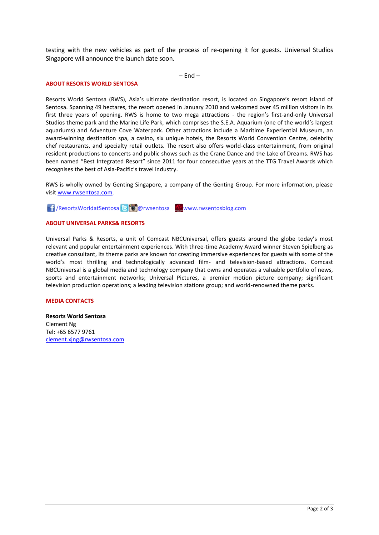testing with the new vehicles as part of the process of re-opening it for guests. Universal Studios Singapore will announce the launch date soon.

 $-$  Fnd  $-$ 

#### **ABOUT RESORTS WORLD SENTOSA**

Resorts World Sentosa (RWS), Asia's ultimate destination resort, is located on Singapore's resort island of Sentosa. Spanning 49 hectares, the resort opened in January 2010 and welcomed over 45 million visitors in its first three years of opening. RWS is home to two mega attractions - the region's first-and-only Universal Studios theme park and the Marine Life Park, which comprises the S.E.A. Aquarium (one of the world's largest aquariums) and Adventure Cove Waterpark. Other attractions include a Maritime Experiential Museum, an award-winning destination spa, a casino, six unique hotels, the Resorts World Convention Centre, celebrity chef restaurants, and specialty retail outlets. The resort also offers world-class entertainment, from original resident productions to concerts and public shows such as the Crane Dance and the Lake of Dreams. RWS has been named "Best Integrated Resort" since 2011 for four consecutive years at the TTG Travel Awards which recognises the best of Asia-Pacific's travel industry.

RWS is wholly owned by Genting Singapore, a company of the Genting Group. For more information, please visi[t www.rwsentosa.com.](http://www.rwsentosa.com/)

**1** /ResortsWorldatSentosa **& @** @ rwsentosa www.rwsentosblog.com

## **ABOUT UNIVERSAL PARKS& RESORTS**

Universal Parks & Resorts, a unit of Comcast NBCUniversal, offers guests around the globe today's most relevant and popular entertainment experiences. With three-time Academy Award winner Steven Spielberg as creative consultant, its theme parks are known for creating immersive experiences for guests with some of the world's most thrilling and technologically advanced film- and television-based attractions. Comcast NBCUniversal is a global media and technology company that owns and operates a valuable portfolio of news, sports and entertainment networks; Universal Pictures, a premier motion picture company; significant television production operations; a leading television stations group; and world-renowned theme parks.

### **MEDIA CONTACTS**

**Resorts World Sentosa** Clement Ng Tel: +65 6577 9761 [clement.xjng@rwsentosa.com](mailto:clement.xjng@rwsentosa.com)